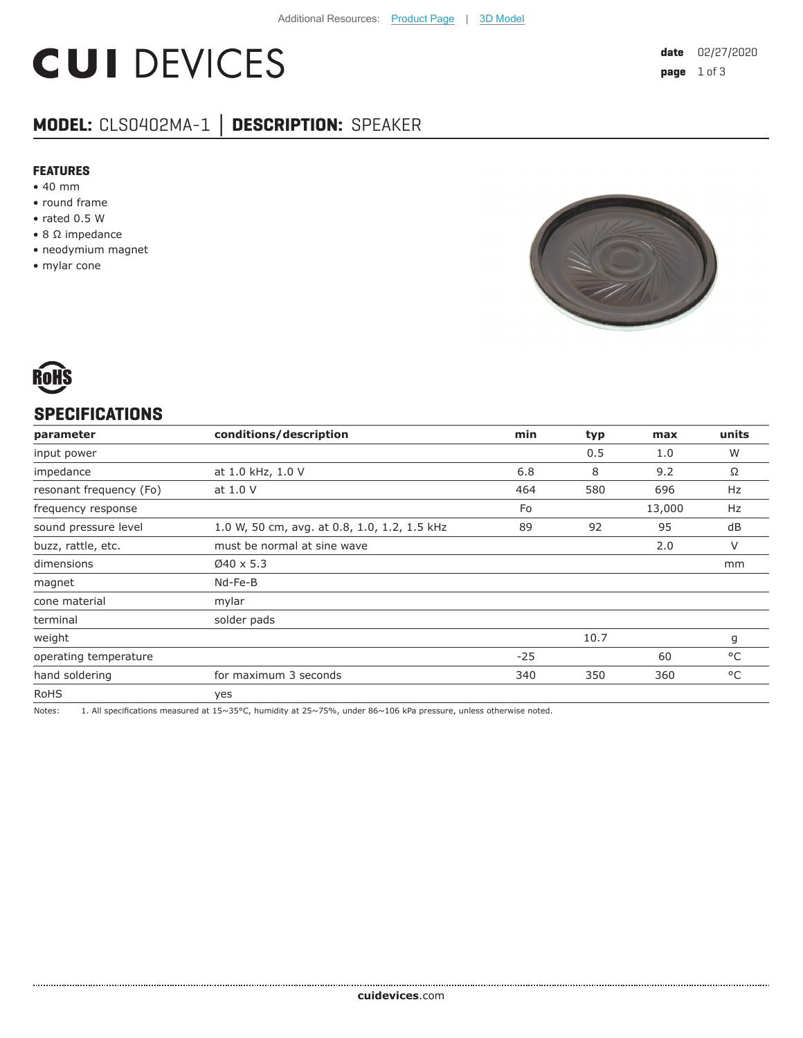# **CUI DEVICES**

# **MODEL:** CLS0402MA-1 **│ DESCRIPTION:** SPEAKER

#### **FEATURES**

- 40 mm
- round frame
- rated 0.5 W
- 8 Ω impedance
- neodymium magnet
- mylar cone





#### **SPECIFICATIONS**

| parameter               | conditions/description                       | min   | typ  | max    | units |
|-------------------------|----------------------------------------------|-------|------|--------|-------|
| input power             |                                              |       | 0.5  | 1.0    | W     |
| impedance               | at 1.0 kHz, 1.0 V                            | 6.8   | 8    | 9.2    | Ω     |
| resonant frequency (Fo) | at 1.0 V                                     | 464   | 580  | 696    | Hz    |
| frequency response      |                                              | Fo    |      | 13,000 | Hz    |
| sound pressure level    | 1.0 W, 50 cm, avg. at 0.8, 1.0, 1.2, 1.5 kHz | 89    | 92   | 95     | dB    |
| buzz, rattle, etc.      | must be normal at sine wave                  |       |      | 2.0    | V     |
| dimensions              | $Ø40 \times 5.3$                             |       |      |        | mm    |
| magnet                  | Nd-Fe-B                                      |       |      |        |       |
| cone material           | mylar                                        |       |      |        |       |
| terminal                | solder pads                                  |       |      |        |       |
| weight                  |                                              |       | 10.7 |        | g     |
| operating temperature   |                                              | $-25$ |      | 60     | °C    |
| hand soldering          | for maximum 3 seconds                        | 340   | 350  | 360    | °C    |
| <b>RoHS</b>             | yes                                          |       |      |        |       |

Notes: 1. All specifications measured at 15~35°C, humidity at 25~75%, under 86~106 kPa pressure, unless otherwise noted.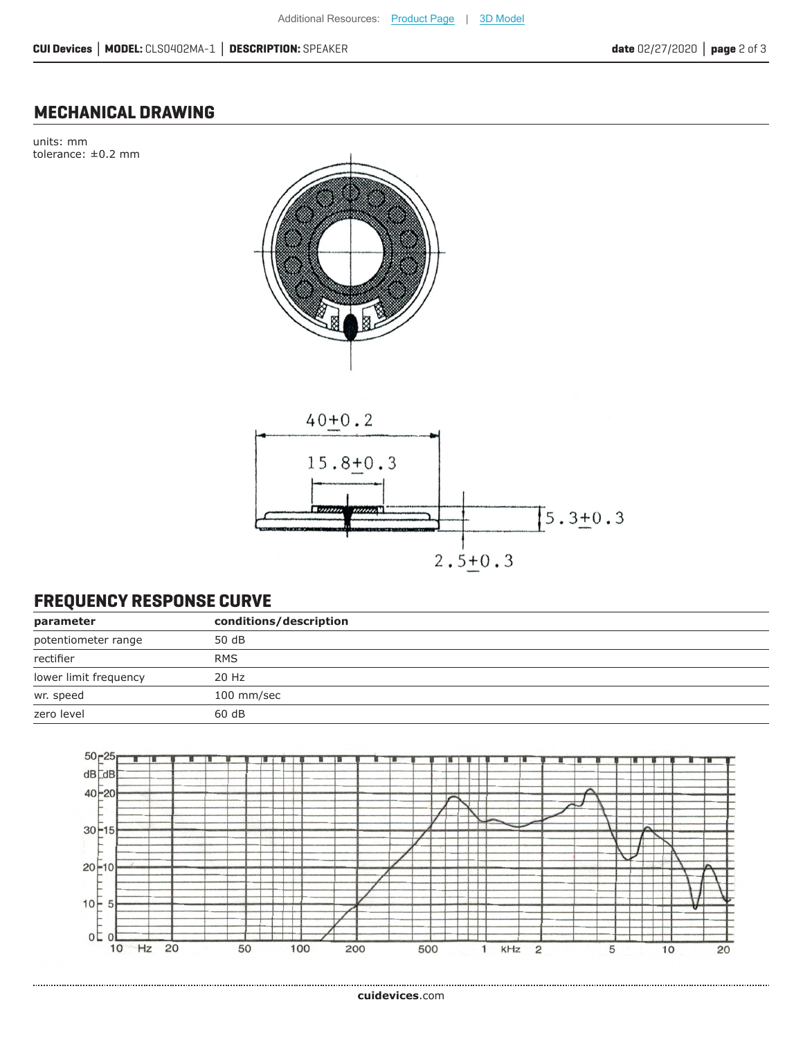### **MECHANICAL DRAWING**

units: mm tolerance: ±0.2 mm





## **FREQUENCY RESPONSE CURVE**

| parameter             | conditions/description |
|-----------------------|------------------------|
| potentiometer range   | 50 dB                  |
| rectifier             | <b>RMS</b>             |
| lower limit frequency | 20 Hz                  |
| wr. speed             | 100 mm/sec             |
| zero level            | 60 dB                  |